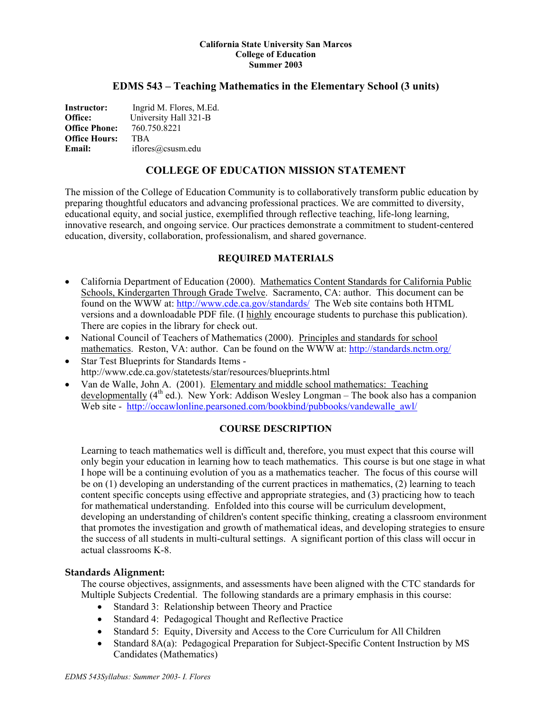#### **California State University San Marcos College of Education Summer 2003**

#### **EDMS 543 – Teaching Mathematics in the Elementary School (3 units)**

| <b>Instructor:</b>   | Ingrid M. Flores, M.Ed. |
|----------------------|-------------------------|
| Office:              | University Hall 321-B   |
| <b>Office Phone:</b> | 760.750.8221            |
| <b>Office Hours:</b> | <b>TRA</b>              |
| Email:               | iflores@csusm.edu       |

## **COLLEGE OF EDUCATION MISSION STATEMENT**

The mission of the College of Education Community is to collaboratively transform public education by preparing thoughtful educators and advancing professional practices. We are committed to diversity, educational equity, and social justice, exemplified through reflective teaching, life-long learning, innovative research, and ongoing service. Our practices demonstrate a commitment to student-centered education, diversity, collaboration, professionalism, and shared governance.

#### **REQUIRED MATERIALS**

- California Department of Education (2000). Mathematics Content Standards for California Public Schools, Kindergarten Through Grade Twelve. Sacramento, CA: author. This document can be found on the WWW at:<http://www.cde.ca.gov/standards/>The Web site contains both HTML versions and a downloadable PDF file. (I highly encourage students to purchase this publication). There are copies in the library for check out.
- National Council of Teachers of Mathematics (2000). Principles and standards for school mathematics. Reston, VA: author. Can be found on the WWW at:<http://standards.nctm.org/>
- Star Test Blueprints for Standards Items http://www.cde.ca.gov/statetests/star/resources/blueprints.html
- Van de Walle, John A. (2001). Elementary and middle school mathematics: Teaching developmentally  $(4^{th}$  ed.). New York: Addison Wesley Longman – The book also has a companion Web site - [http://occawlonline.pearsoned.com/bookbind/pubbooks/vandewalle\\_awl/](http://occawlonline.pearsoned.com/bookbind/pubbooks/vandewalle_awl/)

#### **COURSE DESCRIPTION**

Learning to teach mathematics well is difficult and, therefore, you must expect that this course will only begin your education in learning how to teach mathematics. This course is but one stage in what I hope will be a continuing evolution of you as a mathematics teacher. The focus of this course will be on (1) developing an understanding of the current practices in mathematics, (2) learning to teach content specific concepts using effective and appropriate strategies, and (3) practicing how to teach for mathematical understanding. Enfolded into this course will be curriculum development, developing an understanding of children's content specific thinking, creating a classroom environment that promotes the investigation and growth of mathematical ideas, and developing strategies to ensure the success of all students in multi-cultural settings. A significant portion of this class will occur in actual classrooms K-8.

#### **Standards Alignment:**

The course objectives, assignments, and assessments have been aligned with the CTC standards for Multiple Subjects Credential. The following standards are a primary emphasis in this course:

- Standard 3: Relationship between Theory and Practice
- Standard 4: Pedagogical Thought and Reflective Practice
- Standard 5: Equity, Diversity and Access to the Core Curriculum for All Children
- Standard 8A(a): Pedagogical Preparation for Subject-Specific Content Instruction by MS Candidates (Mathematics)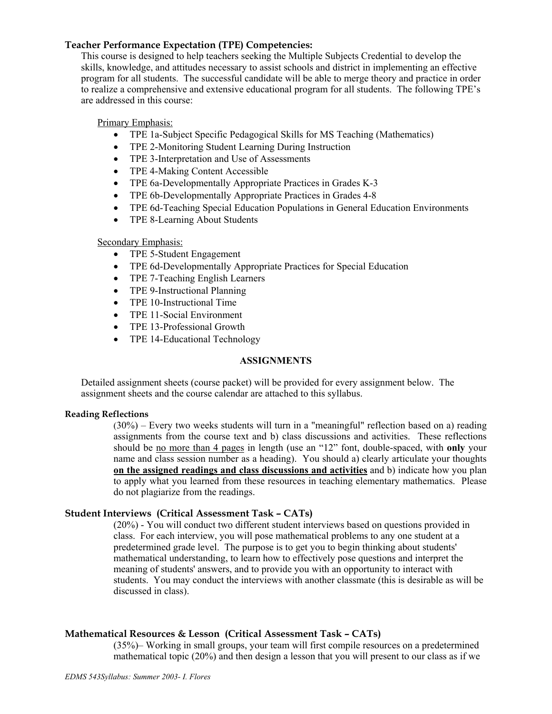## **Teacher Performance Expectation (TPE) Competencies:**

This course is designed to help teachers seeking the Multiple Subjects Credential to develop the skills, knowledge, and attitudes necessary to assist schools and district in implementing an effective program for all students. The successful candidate will be able to merge theory and practice in order to realize a comprehensive and extensive educational program for all students. The following TPE's are addressed in this course:

Primary Emphasis:

- TPE 1a-Subject Specific Pedagogical Skills for MS Teaching (Mathematics)
- TPE 2-Monitoring Student Learning During Instruction
- TPE 3-Interpretation and Use of Assessments
- TPE 4-Making Content Accessible
- TPE 6a-Developmentally Appropriate Practices in Grades K-3
- TPE 6b-Developmentally Appropriate Practices in Grades 4-8
- TPE 6d-Teaching Special Education Populations in General Education Environments
- TPE 8-Learning About Students

#### Secondary Emphasis:

- TPE 5-Student Engagement
- TPE 6d-Developmentally Appropriate Practices for Special Education
- TPE 7-Teaching English Learners
- TPE 9-Instructional Planning
- TPE 10-Instructional Time
- TPE 11-Social Environment
- TPE 13-Professional Growth
- TPE 14-Educational Technology

#### **ASSIGNMENTS**

Detailed assignment sheets (course packet) will be provided for every assignment below. The assignment sheets and the course calendar are attached to this syllabus.

#### **Reading Reflections**

 $(30\%)$  – Every two weeks students will turn in a "meaningful" reflection based on a) reading assignments from the course text and b) class discussions and activities. These reflections should be no more than 4 pages in length (use an "12" font, double-spaced, with **only** your name and class session number as a heading). You should a) clearly articulate your thoughts **on the assigned readings and class discussions and activities** and b) indicate how you plan to apply what you learned from these resources in teaching elementary mathematics. Please do not plagiarize from the readings.

#### **Student Interviews (Critical Assessment Task – CATs)**

(20%) - You will conduct two different student interviews based on questions provided in class. For each interview, you will pose mathematical problems to any one student at a predetermined grade level. The purpose is to get you to begin thinking about students' mathematical understanding, to learn how to effectively pose questions and interpret the meaning of students' answers, and to provide you with an opportunity to interact with students. You may conduct the interviews with another classmate (this is desirable as will be discussed in class).

#### **Mathematical Resources & Lesson (Critical Assessment Task – CATs)**

(35%)– Working in small groups, your team will first compile resources on a predetermined mathematical topic (20%) and then design a lesson that you will present to our class as if we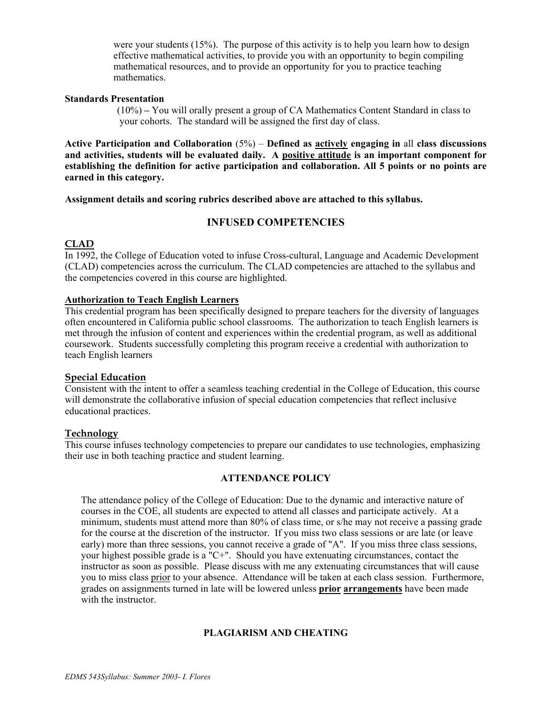were your students (15%). The purpose of this activity is to help you learn how to design effective mathematical activities, to provide you with an opportunity to begin compiling mathematical resources, and to provide an opportunity for you to practice teaching mathematics.

#### **Standards Presentation**

 (10%) **–** You will orally present a group of CA Mathematics Content Standard in class to your cohorts. The standard will be assigned the first day of class.

**Active Participation and Collaboration** (5%) – **Defined as actively engaging in** all **class discussions and activities, students will be evaluated daily. A positive attitude is an important component for establishing the definition for active participation and collaboration. All 5 points or no points are earned in this category.**

**Assignment details and scoring rubrics described above are attached to this syllabus.** 

## **INFUSED COMPETENCIES**

## **CLAD**

In 1992, the College of Education voted to infuse Cross-cultural, Language and Academic Development (CLAD) competencies across the curriculum. The CLAD competencies are attached to the syllabus and the competencies covered in this course are highlighted.

## **Authorization to Teach English Learners**

This credential program has been specifically designed to prepare teachers for the diversity of languages often encountered in California public school classrooms. The authorization to teach English learners is met through the infusion of content and experiences within the credential program, as well as additional coursework. Students successfully completing this program receive a credential with authorization to teach English learners

#### **Special Education**

Consistent with the intent to offer a seamless teaching credential in the College of Education, this course will demonstrate the collaborative infusion of special education competencies that reflect inclusive educational practices.

#### **Technology**

This course infuses technology competencies to prepare our candidates to use technologies, emphasizing their use in both teaching practice and student learning.

#### **ATTENDANCE POLICY**

The attendance policy of the College of Education: Due to the dynamic and interactive nature of courses in the COE, all students are expected to attend all classes and participate actively. At a minimum, students must attend more than 80% of class time, or s/he may not receive a passing grade for the course at the discretion of the instructor. If you miss two class sessions or are late (or leave early) more than three sessions, you cannot receive a grade of "A". If you miss three class sessions, your highest possible grade is a "C+". Should you have extenuating circumstances, contact the instructor as soon as possible. Please discuss with me any extenuating circumstances that will cause you to miss class prior to your absence. Attendance will be taken at each class session. Furthermore, grades on assignments turned in late will be lowered unless **prior arrangements** have been made with the instructor.

#### **PLAGIARISM AND CHEATING**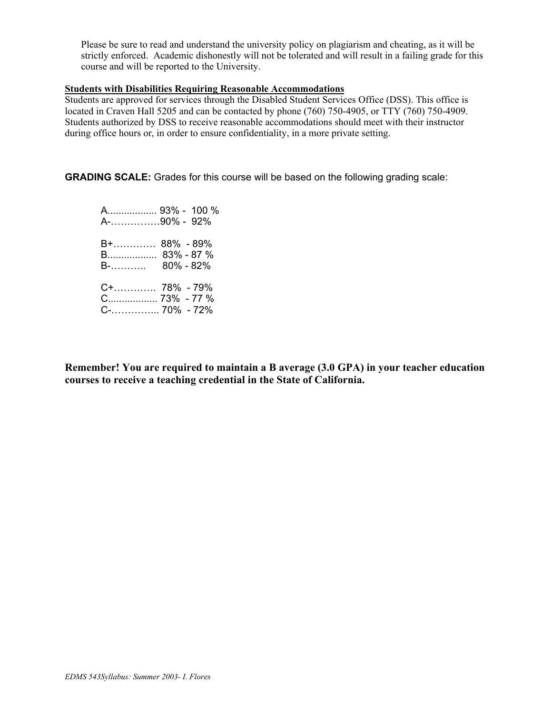Please be sure to read and understand the university policy on plagiarism and cheating, as it will be strictly enforced. Academic dishonestly will not be tolerated and will result in a failing grade for this course and will be reported to the University.

#### **Students with Disabilities Requiring Reasonable Accommodations**

Students are approved for services through the Disabled Student Services Office (DSS). This office is located in Craven Hall 5205 and can be contacted by phone (760) 750-4905, or TTY (760) 750-4909. Students authorized by DSS to receive reasonable accommodations should meet with their instructor during office hours or, in order to ensure confidentiality, in a more private setting.

**GRADING SCALE:** Grades for this course will be based on the following grading scale:

 A.................. 93% - 100 % A-……………90% - 92% B+…………. 88% - 89% B.................. 83% - 87 % B-……….. 80% - 82% C+…………. 78% - 79% C.................. 73% - 77 % C-…………... 70% - 72%

**Remember! You are required to maintain a B average (3.0 GPA) in your teacher education courses to receive a teaching credential in the State of California.**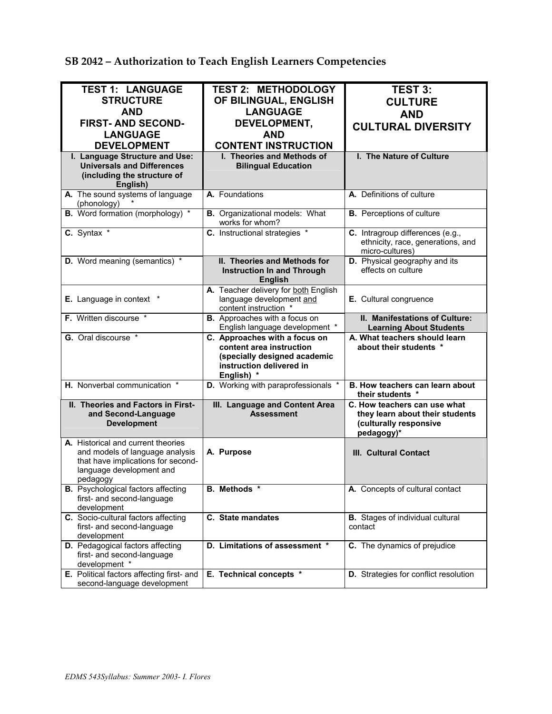| SB 2042 - Authorization to Teach English Learners Competencies |  |
|----------------------------------------------------------------|--|
|----------------------------------------------------------------|--|

| <b>TEST 1: LANGUAGE</b>                                                                                                                             | <b>TEST 2: METHODOLOGY</b>                                                                                                          | <b>TEST 3:</b>                                                                                          |
|-----------------------------------------------------------------------------------------------------------------------------------------------------|-------------------------------------------------------------------------------------------------------------------------------------|---------------------------------------------------------------------------------------------------------|
| <b>STRUCTURE</b>                                                                                                                                    | OF BILINGUAL, ENGLISH                                                                                                               |                                                                                                         |
|                                                                                                                                                     | <b>LANGUAGE</b>                                                                                                                     | <b>CULTURE</b>                                                                                          |
| AND                                                                                                                                                 |                                                                                                                                     | <b>AND</b>                                                                                              |
| <b>FIRST-AND SECOND-</b>                                                                                                                            | DEVELOPMENT,                                                                                                                        | <b>CULTURAL DIVERSITY</b>                                                                               |
| <b>LANGUAGE</b>                                                                                                                                     | <b>AND</b>                                                                                                                          |                                                                                                         |
| <b>DEVELOPMENT</b>                                                                                                                                  | <b>CONTENT INSTRUCTION</b>                                                                                                          |                                                                                                         |
| I. Language Structure and Use:<br><b>Universals and Differences</b><br>(including the structure of<br>English)                                      | I. Theories and Methods of<br><b>Bilingual Education</b>                                                                            | I. The Nature of Culture                                                                                |
| A. The sound systems of language<br>(phonology)                                                                                                     | A. Foundations                                                                                                                      | A. Definitions of culture                                                                               |
| <b>B.</b> Word formation (morphology) *                                                                                                             | <b>B.</b> Organizational models: What<br>works for whom?                                                                            | <b>B.</b> Perceptions of culture                                                                        |
| C. Syntax *                                                                                                                                         | C. Instructional strategies *                                                                                                       | C. Intragroup differences (e.g.,<br>ethnicity, race, generations, and<br>micro-cultures)                |
| D. Word meaning (semantics) *                                                                                                                       | II. Theories and Methods for<br><b>Instruction In and Through</b><br><b>English</b>                                                 | D. Physical geography and its<br>effects on culture                                                     |
| E. Language in context                                                                                                                              | A. Teacher delivery for both English<br>language development and<br>content instruction *                                           | E. Cultural congruence                                                                                  |
| F. Written discourse *                                                                                                                              | B. Approaches with a focus on<br>English language development *                                                                     | II. Manifestations of Culture:<br><b>Learning About Students</b>                                        |
|                                                                                                                                                     |                                                                                                                                     |                                                                                                         |
| G. Oral discourse *                                                                                                                                 | C. Approaches with a focus on<br>content area instruction<br>(specially designed academic<br>instruction delivered in<br>English) * | A. What teachers should learn<br>about their students *                                                 |
| H. Nonverbal communication *                                                                                                                        | D. Working with paraprofessionals *                                                                                                 | B. How teachers can learn about<br>their students *                                                     |
| II. Theories and Factors in First-<br>and Second-Language<br><b>Development</b>                                                                     | III. Language and Content Area<br><b>Assessment</b>                                                                                 | C. How teachers can use what<br>they learn about their students<br>(culturally responsive<br>pedagogy)* |
| A. Historical and current theories<br>and models of language analysis<br>that have implications for second-<br>language development and<br>pedagogy | A. Purpose                                                                                                                          | <b>III. Cultural Contact</b>                                                                            |
| <b>B.</b> Psychological factors affecting<br>first- and second-language<br>development                                                              | B. Methods *                                                                                                                        | A. Concepts of cultural contact                                                                         |
| C. Socio-cultural factors affecting<br>first- and second-language<br>development                                                                    | C. State mandates                                                                                                                   | <b>B.</b> Stages of individual cultural<br>contact                                                      |
| D. Pedagogical factors affecting<br>first- and second-language<br>development *<br>E. Political factors affecting first- and                        | D. Limitations of assessment *<br>E. Technical concepts *                                                                           | C. The dynamics of prejudice<br>D. Strategies for conflict resolution                                   |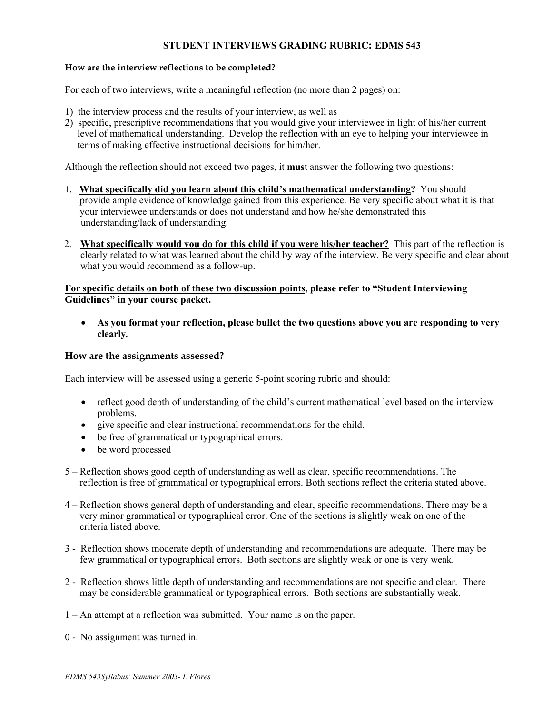#### **STUDENT INTERVIEWS GRADING RUBRIC: EDMS 543**

#### **How are the interview reflections to be completed?**

For each of two interviews, write a meaningful reflection (no more than 2 pages) on:

- 1) the interview process and the results of your interview, as well as
- 2) specific, prescriptive recommendations that you would give your interviewee in light of his/her current level of mathematical understanding. Develop the reflection with an eye to helping your interviewee in terms of making effective instructional decisions for him/her.

Although the reflection should not exceed two pages, it **mus**t answer the following two questions:

- 1. **What specifically did you learn about this child's mathematical understanding?** You should provide ample evidence of knowledge gained from this experience. Be very specific about what it is that your interviewee understands or does not understand and how he/she demonstrated this understanding/lack of understanding.
- 2. **What specifically would you do for this child if you were his/her teacher?** This part of the reflection is clearly related to what was learned about the child by way of the interview. Be very specific and clear about what you would recommend as a follow-up.

#### **For specific details on both of these two discussion points, please refer to "Student Interviewing Guidelines" in your course packet.**

• **As you format your reflection, please bullet the two questions above you are responding to very clearly***.* 

#### **How are the assignments assessed?**

Each interview will be assessed using a generic 5-point scoring rubric and should:

- reflect good depth of understanding of the child's current mathematical level based on the interview problems.
- give specific and clear instructional recommendations for the child.
- be free of grammatical or typographical errors.
- be word processed
- 5 Reflection shows good depth of understanding as well as clear, specific recommendations. The reflection is free of grammatical or typographical errors. Both sections reflect the criteria stated above.
- 4 Reflection shows general depth of understanding and clear, specific recommendations. There may be a very minor grammatical or typographical error. One of the sections is slightly weak on one of the criteria listed above.
- 3 Reflection shows moderate depth of understanding and recommendations are adequate. There may be few grammatical or typographical errors. Both sections are slightly weak or one is very weak.
- 2 Reflection shows little depth of understanding and recommendations are not specific and clear. There may be considerable grammatical or typographical errors. Both sections are substantially weak.
- 1 An attempt at a reflection was submitted. Your name is on the paper.
- 0 No assignment was turned in.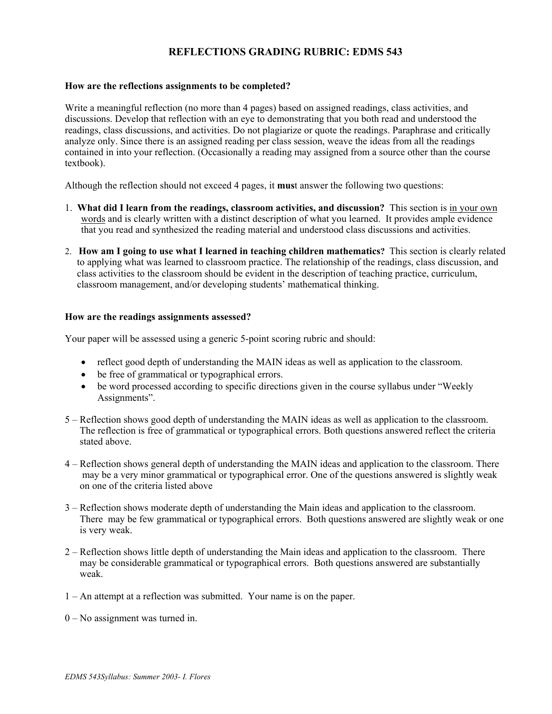## **REFLECTIONS GRADING RUBRIC: EDMS 543**

#### **How are the reflections assignments to be completed?**

Write a meaningful reflection (no more than 4 pages) based on assigned readings, class activities, and discussions. Develop that reflection with an eye to demonstrating that you both read and understood the readings, class discussions, and activities. Do not plagiarize or quote the readings. Paraphrase and critically analyze only. Since there is an assigned reading per class session, weave the ideas from all the readings contained in into your reflection. (Occasionally a reading may assigned from a source other than the course textbook).

Although the reflection should not exceed 4 pages, it **mus**t answer the following two questions:

- 1. **What did I learn from the readings, classroom activities, and discussion?** This section is in your own words and is clearly written with a distinct description of what you learned. It provides ample evidence that you read and synthesized the reading material and understood class discussions and activities.
- 2. **How am I going to use what I learned in teaching children mathematics?** This section is clearly related to applying what was learned to classroom practice. The relationship of the readings, class discussion, and class activities to the classroom should be evident in the description of teaching practice, curriculum, classroom management, and/or developing students' mathematical thinking.

#### **How are the readings assignments assessed?**

Your paper will be assessed using a generic 5-point scoring rubric and should:

- reflect good depth of understanding the MAIN ideas as well as application to the classroom.
- be free of grammatical or typographical errors.
- be word processed according to specific directions given in the course syllabus under "Weekly" Assignments".
- 5 Reflection shows good depth of understanding the MAIN ideas as well as application to the classroom. The reflection is free of grammatical or typographical errors. Both questions answered reflect the criteria stated above.
- 4 Reflection shows general depth of understanding the MAIN ideas and application to the classroom. There may be a very minor grammatical or typographical error. One of the questions answered is slightly weak on one of the criteria listed above
- 3 Reflection shows moderate depth of understanding the Main ideas and application to the classroom. There may be few grammatical or typographical errors. Both questions answered are slightly weak or one is very weak.
- 2 Reflection shows little depth of understanding the Main ideas and application to the classroom. There may be considerable grammatical or typographical errors. Both questions answered are substantially weak.
- 1 An attempt at a reflection was submitted. Your name is on the paper.
- 0 No assignment was turned in.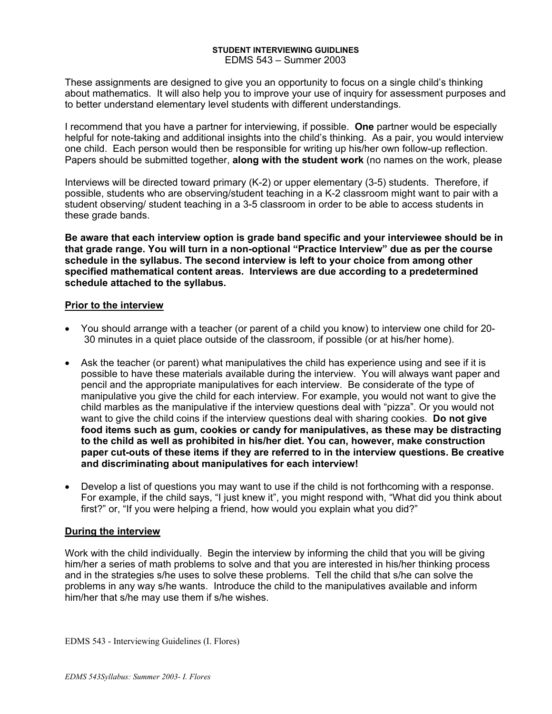#### **STUDENT INTERVIEWING GUIDLINES**  EDMS 543 – Summer 2003

These assignments are designed to give you an opportunity to focus on a single child's thinking about mathematics. It will also help you to improve your use of inquiry for assessment purposes and to better understand elementary level students with different understandings.

I recommend that you have a partner for interviewing, if possible. **One** partner would be especially helpful for note-taking and additional insights into the child's thinking. As a pair, you would interview one child. Each person would then be responsible for writing up his/her own follow-up reflection. Papers should be submitted together, **along with the student work** (no names on the work, please

Interviews will be directed toward primary (K-2) or upper elementary (3-5) students. Therefore, if possible, students who are observing/student teaching in a K-2 classroom might want to pair with a student observing/ student teaching in a 3-5 classroom in order to be able to access students in these grade bands.

**Be aware that each interview option is grade band specific and your interviewee should be in that grade range. You will turn in a non-optional "Practice Interview" due as per the course schedule in the syllabus. The second interview is left to your choice from among other specified mathematical content areas. Interviews are due according to a predetermined schedule attached to the syllabus.**

## **Prior to the interview**

- You should arrange with a teacher (or parent of a child you know) to interview one child for 20- 30 minutes in a quiet place outside of the classroom, if possible (or at his/her home).
- Ask the teacher (or parent) what manipulatives the child has experience using and see if it is possible to have these materials available during the interview. You will always want paper and pencil and the appropriate manipulatives for each interview. Be considerate of the type of manipulative you give the child for each interview. For example, you would not want to give the child marbles as the manipulative if the interview questions deal with "pizza". Or you would not want to give the child coins if the interview questions deal with sharing cookies. **Do not give food items such as gum, cookies or candy for manipulatives, as these may be distracting to the child as well as prohibited in his/her diet. You can, however, make construction paper cut-outs of these items if they are referred to in the interview questions. Be creative and discriminating about manipulatives for each interview!**
- Develop a list of questions you may want to use if the child is not forthcoming with a response. For example, if the child says, "I just knew it", you might respond with, "What did you think about first?" or, "If you were helping a friend, how would you explain what you did?"

## **During the interview**

Work with the child individually. Begin the interview by informing the child that you will be giving him/her a series of math problems to solve and that you are interested in his/her thinking process and in the strategies s/he uses to solve these problems. Tell the child that s/he can solve the problems in any way s/he wants. Introduce the child to the manipulatives available and inform him/her that s/he may use them if s/he wishes.

EDMS 543 - Interviewing Guidelines (I. Flores)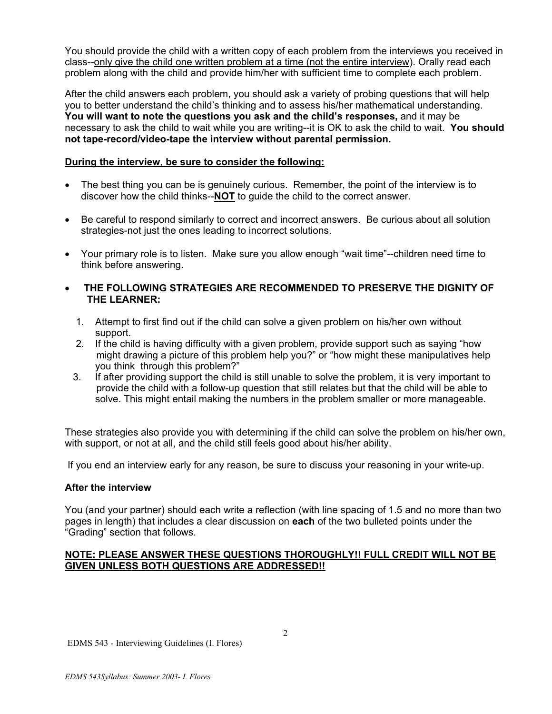You should provide the child with a written copy of each problem from the interviews you received in class--only give the child one written problem at a time (not the entire interview). Orally read each problem along with the child and provide him/her with sufficient time to complete each problem.

After the child answers each problem, you should ask a variety of probing questions that will help you to better understand the child's thinking and to assess his/her mathematical understanding. **You will want to note the questions you ask and the child's responses,** and it may be necessary to ask the child to wait while you are writing--it is OK to ask the child to wait. **You should not tape-record/video-tape the interview without parental permission.** 

## **During the interview, be sure to consider the following:**

- The best thing you can be is genuinely curious. Remember, the point of the interview is to discover how the child thinks--**NOT** to guide the child to the correct answer.
- Be careful to respond similarly to correct and incorrect answers. Be curious about all solution strategies-not just the ones leading to incorrect solutions.
- Your primary role is to listen. Make sure you allow enough "wait time"--children need time to think before answering.
- • **THE FOLLOWING STRATEGIES ARE RECOMMENDED TO PRESERVE THE DIGNITY OF THE LEARNER:** 
	- 1. Attempt to first find out if the child can solve a given problem on his/her own without support.
	- 2. If the child is having difficulty with a given problem, provide support such as saying "how might drawing a picture of this problem help you?" or "how might these manipulatives help you think through this problem?"
	- 3. If after providing support the child is still unable to solve the problem, it is very important to provide the child with a follow-up question that still relates but that the child will be able to solve. This might entail making the numbers in the problem smaller or more manageable.

These strategies also provide you with determining if the child can solve the problem on his/her own, with support, or not at all, and the child still feels good about his/her ability.

If you end an interview early for any reason, be sure to discuss your reasoning in your write-up.

#### **After the interview**

You (and your partner) should each write a reflection (with line spacing of 1.5 and no more than two pages in length) that includes a clear discussion on **each** of the two bulleted points under the "Grading" section that follows.

## **NOTE: PLEASE ANSWER THESE QUESTIONS THOROUGHLY!! FULL CREDIT WILL NOT BE GIVEN UNLESS BOTH QUESTIONS ARE ADDRESSED!!**

EDMS 543 - Interviewing Guidelines (I. Flores)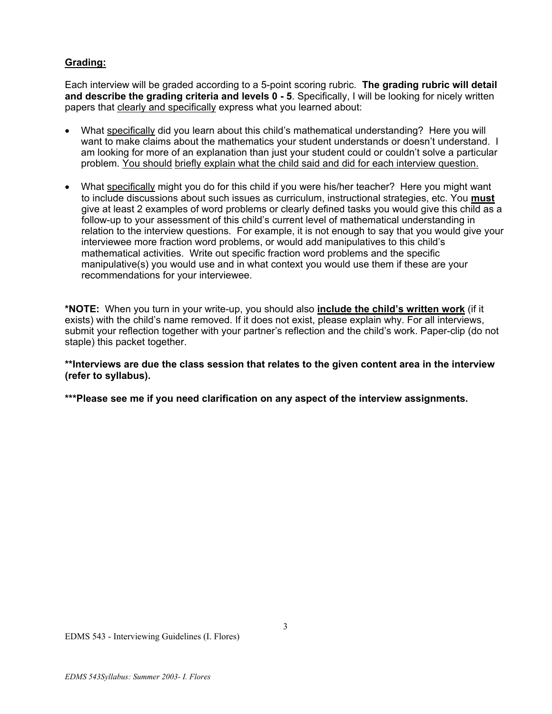## **Grading:**

Each interview will be graded according to a 5-point scoring rubric. **The grading rubric will detail and describe the grading criteria and levels 0 - 5**. Specifically, I will be looking for nicely written papers that clearly and specifically express what you learned about:

- What specifically did you learn about this child's mathematical understanding? Here you will want to make claims about the mathematics your student understands or doesn't understand. I am looking for more of an explanation than just your student could or couldn't solve a particular problem. You should briefly explain what the child said and did for each interview question.
- What specifically might you do for this child if you were his/her teacher? Here you might want to include discussions about such issues as curriculum, instructional strategies, etc. You **must** give at least 2 examples of word problems or clearly defined tasks you would give this child as a follow-up to your assessment of this child's current level of mathematical understanding in relation to the interview questions. For example, it is not enough to say that you would give your interviewee more fraction word problems, or would add manipulatives to this child's mathematical activities. Write out specific fraction word problems and the specific manipulative(s) you would use and in what context you would use them if these are your recommendations for your interviewee.

**\*NOTE:** When you turn in your write-up, you should also **include the child's written work** (if it exists) with the child's name removed. If it does not exist, please explain why. For all interviews, submit your reflection together with your partner's reflection and the child's work. Paper-clip (do not staple) this packet together.

**\*\*Interviews are due the class session that relates to the given content area in the interview (refer to syllabus).** 

**\*\*\*Please see me if you need clarification on any aspect of the interview assignments.**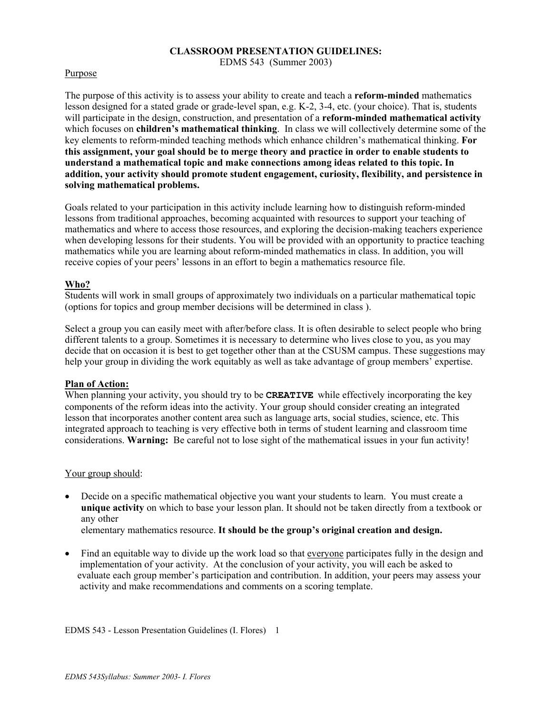#### **CLASSROOM PRESENTATION GUIDELINES:**

EDMS 543 (Summer 2003)

#### Purpose

The purpose of this activity is to assess your ability to create and teach a **reform-minded** mathematics lesson designed for a stated grade or grade-level span, e.g. K-2, 3-4, etc. (your choice). That is, students will participate in the design, construction, and presentation of a **reform-minded mathematical activity** which focuses on **children's mathematical thinking**. In class we will collectively determine some of the key elements to reform-minded teaching methods which enhance children's mathematical thinking. **For this assignment, your goal should be to merge theory and practice in order to enable students to understand a mathematical topic and make connections among ideas related to this topic. In addition, your activity should promote student engagement, curiosity, flexibility, and persistence in solving mathematical problems.** 

Goals related to your participation in this activity include learning how to distinguish reform-minded lessons from traditional approaches, becoming acquainted with resources to support your teaching of mathematics and where to access those resources, and exploring the decision-making teachers experience when developing lessons for their students. You will be provided with an opportunity to practice teaching mathematics while you are learning about reform-minded mathematics in class. In addition, you will receive copies of your peers' lessons in an effort to begin a mathematics resource file.

#### **Who?**

Students will work in small groups of approximately two individuals on a particular mathematical topic (options for topics and group member decisions will be determined in class ).

Select a group you can easily meet with after/before class. It is often desirable to select people who bring different talents to a group. Sometimes it is necessary to determine who lives close to you, as you may decide that on occasion it is best to get together other than at the CSUSM campus. These suggestions may help your group in dividing the work equitably as well as take advantage of group members' expertise.

#### **Plan of Action:**

When planning your activity, you should try to be **CREATIVE** while effectively incorporating the key components of the reform ideas into the activity. Your group should consider creating an integrated lesson that incorporates another content area such as language arts, social studies, science, etc. This integrated approach to teaching is very effective both in terms of student learning and classroom time considerations. **Warning:** Be careful not to lose sight of the mathematical issues in your fun activity!

#### Your group should:

• Decide on a specific mathematical objective you want your students to learn. You must create a **unique activity** on which to base your lesson plan. It should not be taken directly from a textbook or any other

elementary mathematics resource. **It should be the group's original creation and design.** 

• Find an equitable way to divide up the work load so that everyone participates fully in the design and implementation of your activity. At the conclusion of your activity, you will each be asked to evaluate each group member's participation and contribution. In addition, your peers may assess your activity and make recommendations and comments on a scoring template.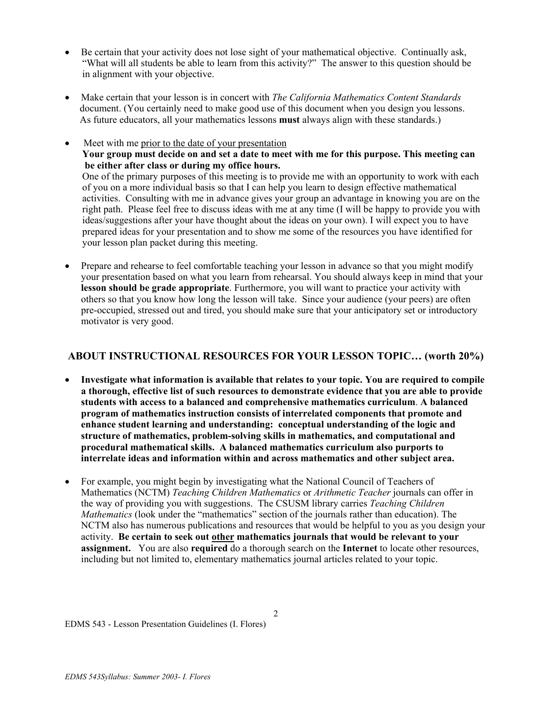- Be certain that your activity does not lose sight of your mathematical objective. Continually ask, "What will all students be able to learn from this activity?" The answer to this question should be in alignment with your objective.
- Make certain that your lesson is in concert with *The California Mathematics Content Standards* document. (You certainly need to make good use of this document when you design you lessons. As future educators, all your mathematics lessons **must** always align with these standards.)
- Meet with me prior to the date of your presentation **Your group must decide on and set a date to meet with me for this purpose. This meeting can be either after class or during my office hours.** One of the primary purposes of this meeting is to provide me with an opportunity to work with each of you on a more individual basis so that I can help you learn to design effective mathematical activities. Consulting with me in advance gives your group an advantage in knowing you are on the right path. Please feel free to discuss ideas with me at any time (I will be happy to provide you with ideas/suggestions after your have thought about the ideas on your own). I will expect you to have prepared ideas for your presentation and to show me some of the resources you have identified for your lesson plan packet during this meeting.
- Prepare and rehearse to feel comfortable teaching your lesson in advance so that you might modify your presentation based on what you learn from rehearsal. You should always keep in mind that your **lesson should be grade appropriate**. Furthermore, you will want to practice your activity with others so that you know how long the lesson will take. Since your audience (your peers) are often pre-occupied, stressed out and tired, you should make sure that your anticipatory set or introductory motivator is very good.

## **ABOUT INSTRUCTIONAL RESOURCES FOR YOUR LESSON TOPIC… (worth 20%)**

- **Investigate what information is available that relates to your topic. You are required to compile a thorough, effective list of such resources to demonstrate evidence that you are able to provide students with access to a balanced and comprehensive mathematics curriculum**. **A balanced program of mathematics instruction consists of interrelated components that promote and enhance student learning and understanding: conceptual understanding of the logic and structure of mathematics, problem-solving skills in mathematics, and computational and procedural mathematical skills. A balanced mathematics curriculum also purports to interrelate ideas and information within and across mathematics and other subject area.**
- For example, you might begin by investigating what the National Council of Teachers of Mathematics (NCTM) *Teaching Children Mathematics* or *Arithmetic Teacher* journals can offer in the way of providing you with suggestions. The CSUSM library carries *Teaching Children Mathematics* (look under the "mathematics" section of the journals rather than education). The NCTM also has numerous publications and resources that would be helpful to you as you design your activity. **Be certain to seek out other mathematics journals that would be relevant to your assignment.** You are also **required** do a thorough search on the **Internet** to locate other resources, including but not limited to, elementary mathematics journal articles related to your topic.

2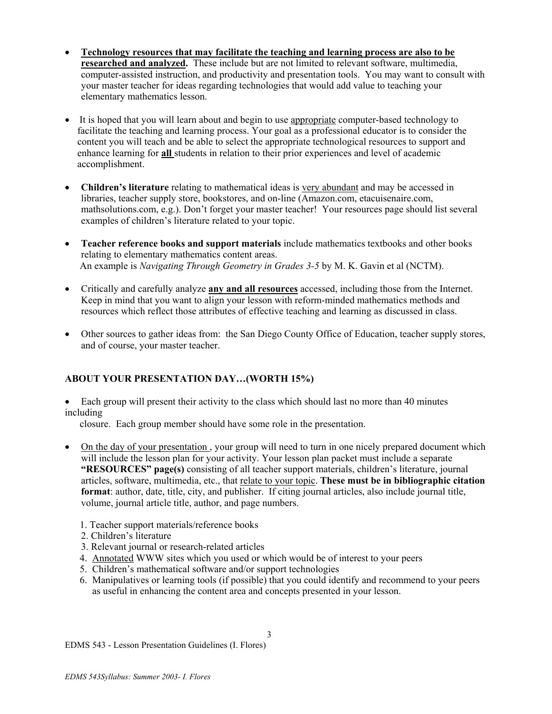- **Technology resources that may facilitate the teaching and learning process are also to be researched and analyzed.** These include but are not limited to relevant software, multimedia, computer-assisted instruction, and productivity and presentation tools. You may want to consult with your master teacher for ideas regarding technologies that would add value to teaching your elementary mathematics lesson.
- It is hoped that you will learn about and begin to use appropriate computer-based technology to facilitate the teaching and learning process. Your goal as a professional educator is to consider the content you will teach and be able to select the appropriate technological resources to support and enhance learning for **all** students in relation to their prior experiences and level of academic accomplishment.
- **Children's literature** relating to mathematical ideas is very abundant and may be accessed in libraries, teacher supply store, bookstores, and on-line (Amazon.com, etacuisenaire.com, mathsolutions.com, e.g.). Don't forget your master teacher! Your resources page should list several examples of children's literature related to your topic.
- **Teacher reference books and support materials** include mathematics textbooks and other books relating to elementary mathematics content areas. An example is *Navigating Through Geometry in Grades 3-5* by M. K. Gavin et al (NCTM).
- Critically and carefully analyze **any and all resources** accessed, including those from the Internet. Keep in mind that you want to align your lesson with reform-minded mathematics methods and resources which reflect those attributes of effective teaching and learning as discussed in class.
- Other sources to gather ideas from: the San Diego County Office of Education, teacher supply stores, and of course, your master teacher.

## **ABOUT YOUR PRESENTATION DAY…(WORTH 15%)**

• Each group will present their activity to the class which should last no more than 40 minutes including

closure.Each group member should have some role in the presentation.

- On the day of your presentation, your group will need to turn in one nicely prepared document which will include the lesson plan for your activity. Your lesson plan packet must include a separate **"RESOURCES" page(s)** consisting of all teacher support materials, children's literature, journal articles, software, multimedia, etc., that relate to your topic. **These must be in bibliographic citation format**: author, date, title, city, and publisher. If citing journal articles, also include journal title, volume, journal article title, author, and page numbers.
	- 1. Teacher support materials/reference books
	- 2. Children's literature
	- 3. Relevant journal or research-related articles
	- 4. Annotated WWW sites which you used or which would be of interest to your peers
	- 5. Children's mathematical software and/or support technologies
	- 6. Manipulatives or learning tools (if possible) that you could identify and recommend to your peers as useful in enhancing the content area and concepts presented in your lesson.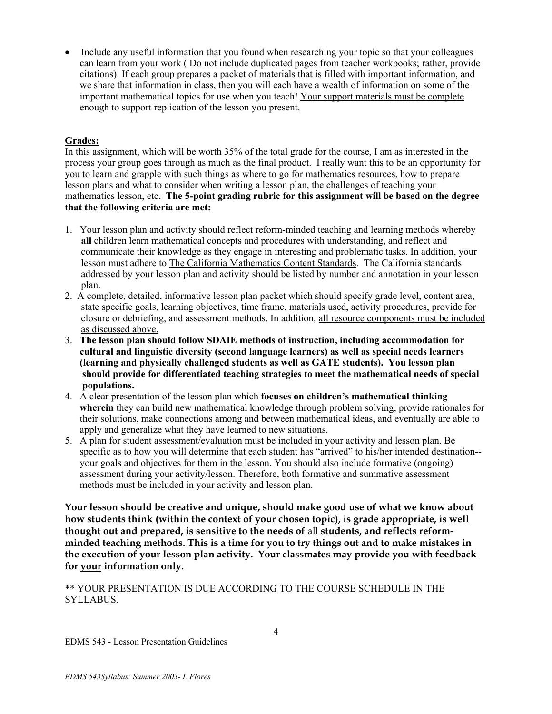• Include any useful information that you found when researching your topic so that your colleagues can learn from your work ( Do not include duplicated pages from teacher workbooks; rather, provide citations). If each group prepares a packet of materials that is filled with important information, and we share that information in class, then you will each have a wealth of information on some of the important mathematical topics for use when you teach! Your support materials must be complete enough to support replication of the lesson you present.

## **Grades:**

In this assignment, which will be worth 35% of the total grade for the course, I am as interested in the process your group goes through as much as the final product. I really want this to be an opportunity for you to learn and grapple with such things as where to go for mathematics resources, how to prepare lesson plans and what to consider when writing a lesson plan, the challenges of teaching your mathematics lesson, etc**. The 5-point grading rubric for this assignment will be based on the degree that the following criteria are met:** 

- 1. Your lesson plan and activity should reflect reform-minded teaching and learning methods whereby **all** children learn mathematical concepts and procedures with understanding, and reflect and communicate their knowledge as they engage in interesting and problematic tasks. In addition, your lesson must adhere to The California Mathematics Content Standards. The California standards addressed by your lesson plan and activity should be listed by number and annotation in your lesson plan.
- 2. A complete, detailed, informative lesson plan packet which should specify grade level, content area, state specific goals, learning objectives, time frame, materials used, activity procedures, provide for closure or debriefing, and assessment methods. In addition, all resource components must be included as discussed above.
- 3. **The lesson plan should follow SDAIE methods of instruction, including accommodation for cultural and linguistic diversity (second language learners) as well as special needs learners (learning and physically challenged students as well as GATE students). You lesson plan should provide for differentiated teaching strategies to meet the mathematical needs of special populations.**
- 4. A clear presentation of the lesson plan which **focuses on children's mathematical thinking wherein** they can build new mathematical knowledge through problem solving, provide rationales for their solutions, make connections among and between mathematical ideas, and eventually are able to apply and generalize what they have learned to new situations.
- 5. A plan for student assessment/evaluation must be included in your activity and lesson plan. Be specific as to how you will determine that each student has "arrived" to his/her intended destination- your goals and objectives for them in the lesson. You should also include formative (ongoing) assessment during your activity/lesson. Therefore, both formative and summative assessment methods must be included in your activity and lesson plan.

**Your lesson should be creative and unique, should make good use of what we know about how students think (within the context of your chosen topic), is grade appropriate, is well thought out and prepared, is sensitive to the needs of** all **students, and reflects reformminded teaching methods. This is a time for you to try things out and to make mistakes in the execution of your lesson plan activity. Your classmates may provide you with feedback for your information only.** 

\*\* YOUR PRESENTATION IS DUE ACCORDING TO THE COURSE SCHEDULE IN THE SYLLABUS.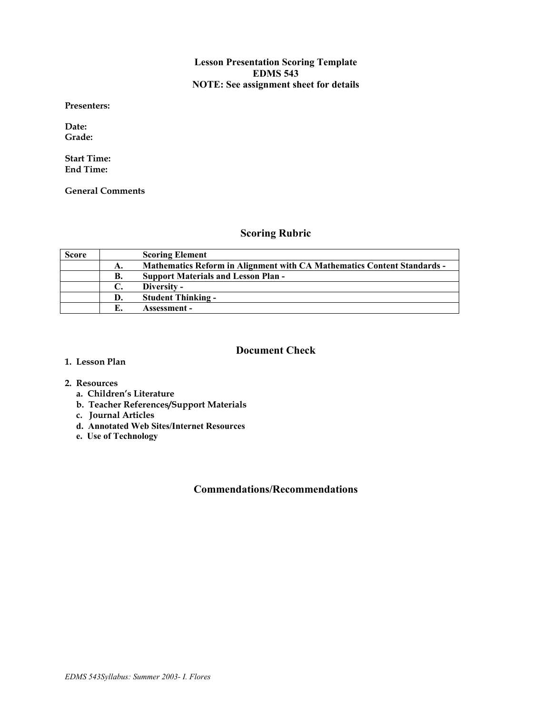#### **Lesson Presentation Scoring Template EDMS 543 NOTE: See assignment sheet for details**

**Presenters:** 

**Date: Grade:** 

**Start Time: End Time:** 

**General Comments** 

## **Scoring Rubric**

| <b>Score</b> |    | <b>Scoring Element</b>                                                         |
|--------------|----|--------------------------------------------------------------------------------|
|              | А. | <b>Mathematics Reform in Alignment with CA Mathematics Content Standards -</b> |
|              | В. | <b>Support Materials and Lesson Plan -</b>                                     |
|              |    | Diversity -                                                                    |
|              | D. | <b>Student Thinking -</b>                                                      |
|              |    | Assessment -                                                                   |

#### **Document Check**

**1. Lesson Plan** 

#### **2. Resources**

- **a. Children's Literature**
- **b. Teacher References/Support Materials**
- **c. Journal Articles**
- **d. Annotated Web Sites/Internet Resources**
- **e. Use of Technology**

## **Commendations/Recommendations**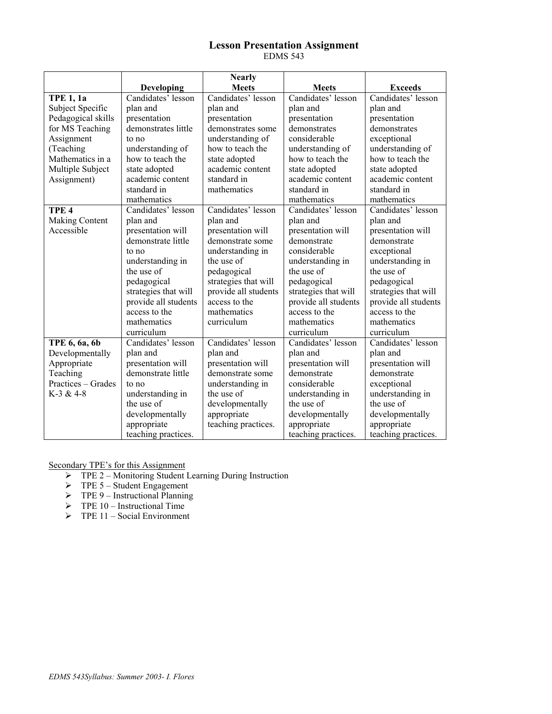## **Lesson Presentation Assignment**

EDMS 543

|                    |                      | <b>Nearly</b>        |                            |                      |
|--------------------|----------------------|----------------------|----------------------------|----------------------|
|                    | <b>Developing</b>    | <b>Meets</b>         | <b>Meets</b>               | <b>Exceeds</b>       |
| <b>TPE 1, 1a</b>   | Candidates' lesson   | Candidates' lesson   | Candidates' lesson         | Candidates' lesson   |
| Subject Specific   | plan and             | plan and             | plan and                   | plan and             |
| Pedagogical skills | presentation         | presentation         | presentation               | presentation         |
| for MS Teaching    | demonstrates little  | demonstrates some    | demonstrates               | demonstrates         |
| Assignment         | to no                | understanding of     | considerable               | exceptional          |
| (Teaching          | understanding of     | how to teach the     | understanding of           | understanding of     |
| Mathematics in a   | how to teach the     | state adopted        | how to teach the           | how to teach the     |
| Multiple Subject   | state adopted        | academic content     | state adopted              | state adopted        |
| Assignment)        | academic content     | standard in          | academic content           | academic content     |
|                    | standard in          | mathematics          | standard in                | standard in          |
|                    | mathematics          |                      | mathematics                | mathematics          |
| TPE <sub>4</sub>   | Candidates' lesson   | Candidates' lesson   | Candidates' lesson         | Candidates' lesson   |
| Making Content     | plan and             | plan and             | plan and                   | plan and             |
| Accessible         | presentation will    | presentation will    | presentation will          | presentation will    |
|                    | demonstrate little   | demonstrate some     | demonstrate                | demonstrate          |
|                    | to no                | understanding in     | considerable               | exceptional          |
|                    | understanding in     | the use of           | understanding in           | understanding in     |
|                    | the use of           | pedagogical          | the use of                 | the use of           |
|                    | pedagogical          | strategies that will | pedagogical                | pedagogical          |
|                    | strategies that will | provide all students | strategies that will       | strategies that will |
|                    | provide all students | access to the        | provide all students       | provide all students |
|                    | access to the        | mathematics          | access to the              | access to the        |
|                    | mathematics          | curriculum           | mathematics                | mathematics          |
|                    | curriculum           |                      | curriculum                 | curriculum           |
| TPE 6, 6a, 6b      | Candidates' lesson   | Candidates' lesson   | Candidates' lesson         | Candidates' lesson   |
| Developmentally    | plan and             | plan and             | plan and                   | plan and             |
| Appropriate        | presentation will    | presentation will    | presentation will          | presentation will    |
| Teaching           | demonstrate little   | demonstrate some     | demonstrate<br>demonstrate |                      |
| Practices – Grades | to no                | understanding in     | considerable               | exceptional          |
| $K-3 & 4-8$        | understanding in     | the use of           | understanding in           | understanding in     |
|                    | the use of           | developmentally      | the use of                 | the use of           |
|                    | developmentally      | appropriate          | developmentally            | developmentally      |
|                    | appropriate          | teaching practices.  | appropriate                | appropriate          |
|                    | teaching practices.  |                      | teaching practices.        | teaching practices.  |

Secondary TPE's for this Assignment

- ¾ TPE 2 Monitoring Student Learning During Instruction
- $\triangleright$  TPE 5 Student Engagement
- $\triangleright$  TPE 9 Instructional Planning
- $\triangleright$  TPE 10 Instructional Time
- $\triangleright$  TPE 11 Social Environment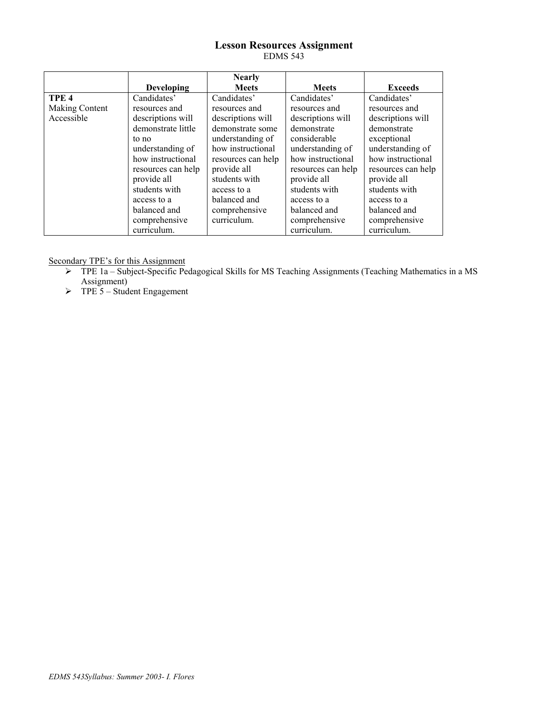#### **Lesson Resources Assignment**  EDMS 543

|                  |                    | <b>Nearly</b>      |                    |                    |
|------------------|--------------------|--------------------|--------------------|--------------------|
|                  | <b>Developing</b>  | <b>Meets</b>       | <b>Meets</b>       | <b>Exceeds</b>     |
| TPE <sub>4</sub> | Candidates'        | Candidates'        | Candidates'        | Candidates'        |
| Making Content   | resources and      | resources and      | resources and      | resources and      |
| Accessible       | descriptions will  | descriptions will  | descriptions will  | descriptions will  |
|                  | demonstrate little | demonstrate some   | demonstrate        | demonstrate        |
|                  | to no              | understanding of   | considerable       | exceptional        |
|                  | understanding of   | how instructional  | understanding of   | understanding of   |
|                  | how instructional  | resources can help | how instructional  | how instructional  |
|                  | resources can help | provide all        | resources can help | resources can help |
|                  | provide all        | students with      | provide all        | provide all        |
|                  | students with      | access to a        | students with      | students with      |
|                  | access to a        | balanced and       | access to a        | access to a        |
|                  | balanced and       | comprehensive      | balanced and       | balanced and       |
|                  | comprehensive      | curriculum.        | comprehensive      | comprehensive      |
|                  | curriculum.        |                    | curriculum.        | curriculum.        |

Secondary TPE's for this Assignment

- ¾ TPE 1a Subject-Specific Pedagogical Skills for MS Teaching Assignments (Teaching Mathematics in a MS Assignment)
- $\triangleright$  TPE 5 Student Engagement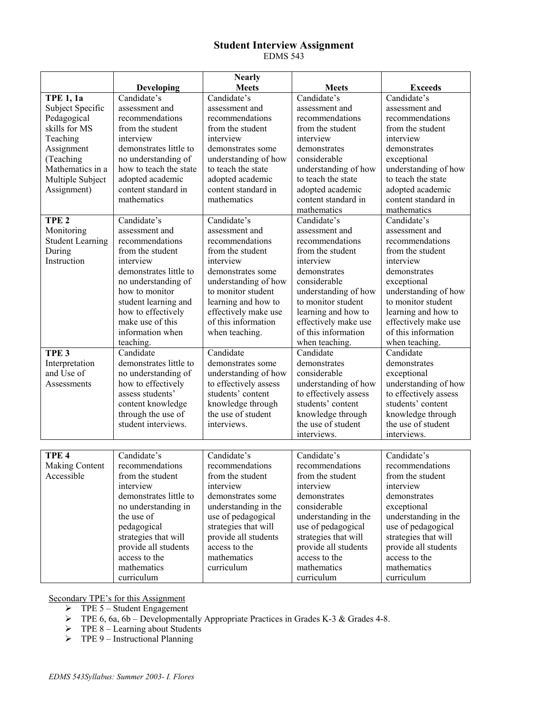# **Student Interview Assignment**

EDMS 543

|                         |                        | <b>Nearly</b>         |                        |                       |
|-------------------------|------------------------|-----------------------|------------------------|-----------------------|
|                         | Developing             | <b>Meets</b>          | <b>Meets</b>           | <b>Exceeds</b>        |
| <b>TPE 1, 1a</b>        | Candidate's            | Candidate's           | Candidate's            | Candidate's           |
| Subject Specific        | assessment and         | assessment and        | assessment and         | assessment and        |
| Pedagogical             | recommendations        | recommendations       | recommendations        | recommendations       |
| skills for MS           | from the student       | from the student      | from the student       | from the student      |
| Teaching                | interview              | interview             | interview              | interview             |
| Assignment              | demonstrates little to | demonstrates some     | demonstrates           | demonstrates          |
| (Teaching               | no understanding of    | understanding of how  | considerable           | exceptional           |
| Mathematics in a        | how to teach the state | to teach the state    | understanding of how   | understanding of how  |
| Multiple Subject        | adopted academic       | adopted academic      | to teach the state     | to teach the state    |
| Assignment)             | content standard in    | content standard in   | adopted academic       | adopted academic      |
|                         | mathematics            | mathematics           | content standard in    | content standard in   |
|                         |                        |                       | mathematics            | mathematics           |
| TPE <sub>2</sub>        | Candidate's            | Candidate's           | Candidate's            | Candidate's           |
| Monitoring              | assessment and         | assessment and        | assessment and         | assessment and        |
| <b>Student Learning</b> | recommendations        | recommendations       | recommendations        | recommendations       |
| During                  | from the student       | from the student      | from the student       | from the student      |
| Instruction             | interview              | interview             | interview              | interview             |
|                         | demonstrates little to | demonstrates some     | demonstrates           | demonstrates          |
|                         | no understanding of    | understanding of how  | considerable           | exceptional           |
|                         | how to monitor         | to monitor student    | understanding of how   | understanding of how  |
|                         | student learning and   | learning and how to   | to monitor student     | to monitor student    |
|                         | how to effectively     | effectively make use  | learning and how to    | learning and how to   |
|                         | make use of this       | of this information   | effectively make use   | effectively make use  |
|                         | information when       | when teaching.        | of this information    | of this information   |
|                         | teaching.              |                       | when teaching.         | when teaching.        |
| TPE <sub>3</sub>        | Candidate              | Candidate             | Candidate              | Candidate             |
| Interpretation          | demonstrates little to | demonstrates some     | demonstrates           | demonstrates          |
| and Use of              | no understanding of    | understanding of how  | considerable           | exceptional           |
| Assessments             | how to effectively     | to effectively assess | understanding of how   | understanding of how  |
|                         | assess students'       | students' content     | to effectively assess  | to effectively assess |
|                         | content knowledge      | knowledge through     | students' content      | students' content     |
|                         | through the use of     | the use of student    | knowledge through      | knowledge through     |
|                         | student interviews.    | interviews.           | the use of student     | the use of student    |
|                         |                        |                       | interviews.            | interviews.           |
|                         |                        |                       |                        |                       |
| TPE <sub>4</sub>        | Candidate's            | Candidate's           | Candidate's            | Candidate's           |
| Making Content          | recommendations        | recommendations       | recommendations        | recommendations       |
| Accessible              | from the student       | from the student      | from the student       | from the student      |
|                         | interview              | interview             | interview<br>interview |                       |
|                         | demonstrates little to | demonstrates some     | demonstrates           | demonstrates          |
|                         | no understanding in    | understanding in the  | considerable           | exceptional           |
|                         | the use of             | use of pedagogical    | understanding in the   | understanding in the  |
|                         | pedagogical            | strategies that will  | use of pedagogical     | use of pedagogical    |
|                         | strategies that will   | provide all students  | strategies that will   | strategies that will  |
|                         | provide all students   | access to the         | provide all students   | provide all students  |
|                         | access to the          | mathematics           | access to the          | access to the         |
|                         | mathematics            | curriculum            | mathematics            | mathematics           |
|                         | curriculum             |                       | curriculum             | curriculum            |

Secondary TPE's for this Assignment

- $\triangleright$  TPE 5 Student Engagement
- $\triangleright$  TPE 6, 6a, 6b Developmentally Appropriate Practices in Grades K-3 & Grades 4-8.
- $\triangleright$  TPE 8 Learning about Students
- $\triangleright$  TPE 9 Instructional Planning